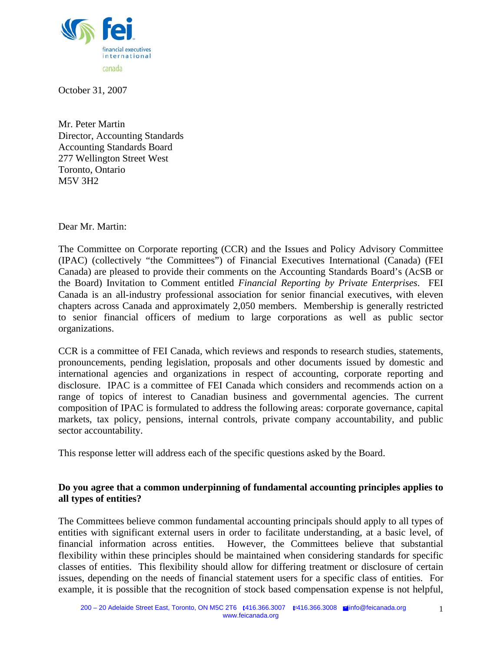

October 31, 2007

Mr. Peter Martin Director, Accounting Standards Accounting Standards Board 277 Wellington Street West Toronto, Ontario M5V 3H2

Dear Mr. Martin:

The Committee on Corporate reporting (CCR) and the Issues and Policy Advisory Committee (IPAC) (collectively "the Committees") of Financial Executives International (Canada) (FEI Canada) are pleased to provide their comments on the Accounting Standards Board's (AcSB or the Board) Invitation to Comment entitled *Financial Reporting by Private Enterprises*. FEI Canada is an all-industry professional association for senior financial executives, with eleven chapters across Canada and approximately 2,050 members. Membership is generally restricted to senior financial officers of medium to large corporations as well as public sector organizations.

CCR is a committee of FEI Canada, which reviews and responds to research studies, statements, pronouncements, pending legislation, proposals and other documents issued by domestic and international agencies and organizations in respect of accounting, corporate reporting and disclosure. IPAC is a committee of FEI Canada which considers and recommends action on a range of topics of interest to Canadian business and governmental agencies. The current composition of IPAC is formulated to address the following areas: corporate governance, capital markets, tax policy, pensions, internal controls, private company accountability, and public sector accountability.

This response letter will address each of the specific questions asked by the Board.

## **Do you agree that a common underpinning of fundamental accounting principles applies to all types of entities?**

The Committees believe common fundamental accounting principals should apply to all types of entities with significant external users in order to facilitate understanding, at a basic level, of financial information across entities. However, the Committees believe that substantial flexibility within these principles should be maintained when considering standards for specific classes of entities. This flexibility should allow for differing treatment or disclosure of certain issues, depending on the needs of financial statement users for a specific class of entities. For example, it is possible that the recognition of stock based compensation expense is not helpful,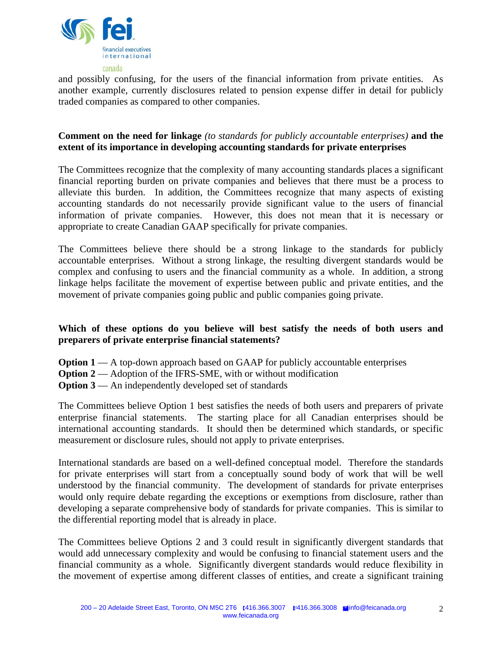

and possibly confusing, for the users of the financial information from private entities. As another example, currently disclosures related to pension expense differ in detail for publicly traded companies as compared to other companies.

## **Comment on the need for linkage** *(to standards for publicly accountable enterprises)* **and the extent of its importance in developing accounting standards for private enterprises**

The Committees recognize that the complexity of many accounting standards places a significant financial reporting burden on private companies and believes that there must be a process to alleviate this burden. In addition, the Committees recognize that many aspects of existing accounting standards do not necessarily provide significant value to the users of financial information of private companies. However, this does not mean that it is necessary or appropriate to create Canadian GAAP specifically for private companies.

The Committees believe there should be a strong linkage to the standards for publicly accountable enterprises. Without a strong linkage, the resulting divergent standards would be complex and confusing to users and the financial community as a whole. In addition, a strong linkage helps facilitate the movement of expertise between public and private entities, and the movement of private companies going public and public companies going private.

## **Which of these options do you believe will best satisfy the needs of both users and preparers of private enterprise financial statements?**

- **Option 1** A top-down approach based on GAAP for publicly accountable enterprises
- **Option 2** Adoption of the IFRS-SME, with or without modification
- **Option 3** An independently developed set of standards

The Committees believe Option 1 best satisfies the needs of both users and preparers of private enterprise financial statements. The starting place for all Canadian enterprises should be international accounting standards. It should then be determined which standards, or specific measurement or disclosure rules, should not apply to private enterprises.

International standards are based on a well-defined conceptual model. Therefore the standards for private enterprises will start from a conceptually sound body of work that will be well understood by the financial community. The development of standards for private enterprises would only require debate regarding the exceptions or exemptions from disclosure, rather than developing a separate comprehensive body of standards for private companies. This is similar to the differential reporting model that is already in place.

The Committees believe Options 2 and 3 could result in significantly divergent standards that would add unnecessary complexity and would be confusing to financial statement users and the financial community as a whole. Significantly divergent standards would reduce flexibility in the movement of expertise among different classes of entities, and create a significant training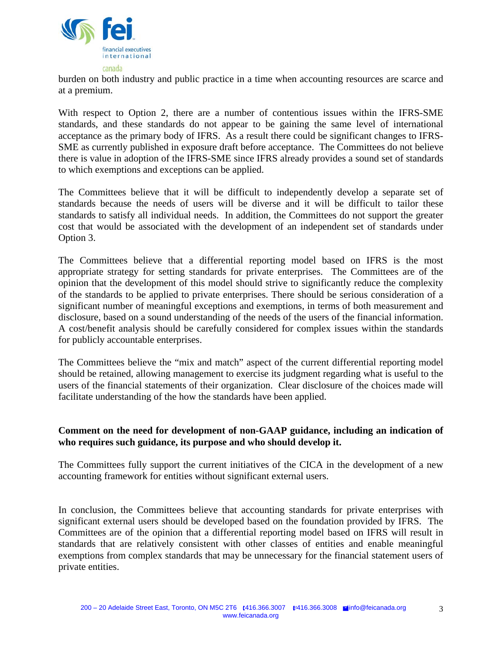

burden on both industry and public practice in a time when accounting resources are scarce and at a premium.

With respect to Option 2, there are a number of contentious issues within the IFRS-SME standards, and these standards do not appear to be gaining the same level of international acceptance as the primary body of IFRS. As a result there could be significant changes to IFRS-SME as currently published in exposure draft before acceptance. The Committees do not believe there is value in adoption of the IFRS-SME since IFRS already provides a sound set of standards to which exemptions and exceptions can be applied.

The Committees believe that it will be difficult to independently develop a separate set of standards because the needs of users will be diverse and it will be difficult to tailor these standards to satisfy all individual needs. In addition, the Committees do not support the greater cost that would be associated with the development of an independent set of standards under Option 3.

The Committees believe that a differential reporting model based on IFRS is the most appropriate strategy for setting standards for private enterprises. The Committees are of the opinion that the development of this model should strive to significantly reduce the complexity of the standards to be applied to private enterprises. There should be serious consideration of a significant number of meaningful exceptions and exemptions, in terms of both measurement and disclosure, based on a sound understanding of the needs of the users of the financial information. A cost/benefit analysis should be carefully considered for complex issues within the standards for publicly accountable enterprises.

The Committees believe the "mix and match" aspect of the current differential reporting model should be retained, allowing management to exercise its judgment regarding what is useful to the users of the financial statements of their organization. Clear disclosure of the choices made will facilitate understanding of the how the standards have been applied.

## **Comment on the need for development of non-GAAP guidance, including an indication of who requires such guidance, its purpose and who should develop it.**

The Committees fully support the current initiatives of the CICA in the development of a new accounting framework for entities without significant external users.

In conclusion, the Committees believe that accounting standards for private enterprises with significant external users should be developed based on the foundation provided by IFRS. The Committees are of the opinion that a differential reporting model based on IFRS will result in standards that are relatively consistent with other classes of entities and enable meaningful exemptions from complex standards that may be unnecessary for the financial statement users of private entities.